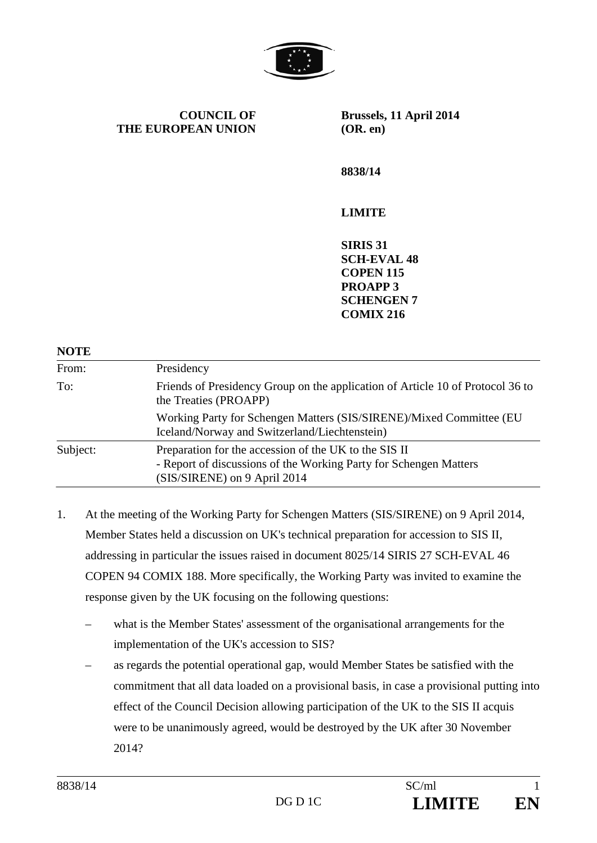

**COUNCIL OF THE EUROPEAN UNION** **Brussels, 11 April 2014 (OR. en)** 

**8838/14** 

## **LIMITE**

**SIRIS 31 SCH-EVAL 48 COPEN 115 PROAPP 3 SCHENGEN 7 COMIX 216** 

| <b>NOTE</b> |                                                                                                                                                            |
|-------------|------------------------------------------------------------------------------------------------------------------------------------------------------------|
| From:       | Presidency                                                                                                                                                 |
| To:         | Friends of Presidency Group on the application of Article 10 of Protocol 36 to<br>the Treaties (PROAPP)                                                    |
|             | Working Party for Schengen Matters (SIS/SIRENE)/Mixed Committee (EU<br>Iceland/Norway and Switzerland/Liechtenstein)                                       |
| Subject:    | Preparation for the accession of the UK to the SIS II<br>- Report of discussions of the Working Party for Schengen Matters<br>(SIS/SIRENE) on 9 April 2014 |

- 1. At the meeting of the Working Party for Schengen Matters (SIS/SIRENE) on 9 April 2014, Member States held a discussion on UK's technical preparation for accession to SIS II, addressing in particular the issues raised in document 8025/14 SIRIS 27 SCH-EVAL 46 COPEN 94 COMIX 188. More specifically, the Working Party was invited to examine the response given by the UK focusing on the following questions:
	- what is the Member States' assessment of the organisational arrangements for the implementation of the UK's accession to SIS?
	- as regards the potential operational gap, would Member States be satisfied with the commitment that all data loaded on a provisional basis, in case a provisional putting into effect of the Council Decision allowing participation of the UK to the SIS II acquis were to be unanimously agreed, would be destroyed by the UK after 30 November 2014?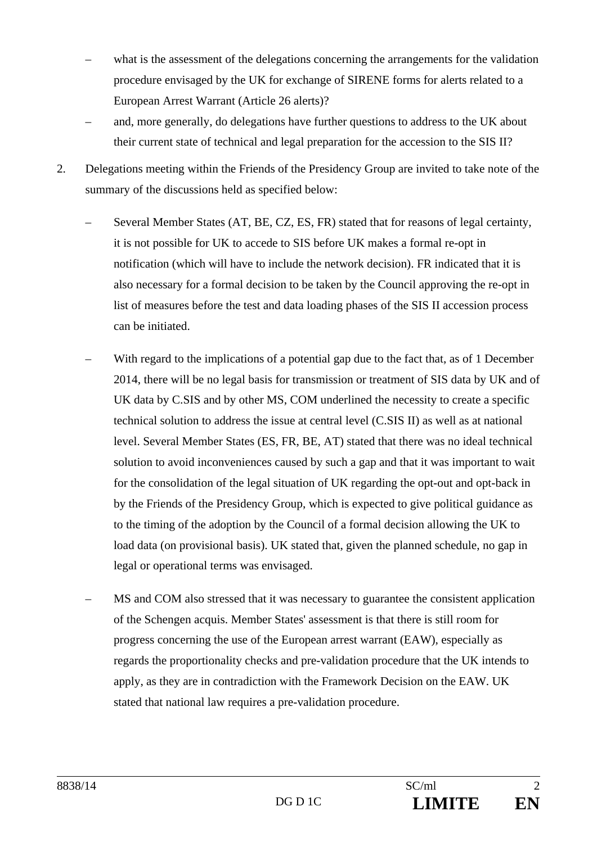- what is the assessment of the delegations concerning the arrangements for the validation procedure envisaged by the UK for exchange of SIRENE forms for alerts related to a European Arrest Warrant (Article 26 alerts)?
- and, more generally, do delegations have further questions to address to the UK about their current state of technical and legal preparation for the accession to the SIS II?
- 2. Delegations meeting within the Friends of the Presidency Group are invited to take note of the summary of the discussions held as specified below:
	- Several Member States (AT, BE, CZ, ES, FR) stated that for reasons of legal certainty, it is not possible for UK to accede to SIS before UK makes a formal re-opt in notification (which will have to include the network decision). FR indicated that it is also necessary for a formal decision to be taken by the Council approving the re-opt in list of measures before the test and data loading phases of the SIS II accession process can be initiated.
	- With regard to the implications of a potential gap due to the fact that, as of 1 December 2014, there will be no legal basis for transmission or treatment of SIS data by UK and of UK data by C.SIS and by other MS, COM underlined the necessity to create a specific technical solution to address the issue at central level (C.SIS II) as well as at national level. Several Member States (ES, FR, BE, AT) stated that there was no ideal technical solution to avoid inconveniences caused by such a gap and that it was important to wait for the consolidation of the legal situation of UK regarding the opt-out and opt-back in by the Friends of the Presidency Group, which is expected to give political guidance as to the timing of the adoption by the Council of a formal decision allowing the UK to load data (on provisional basis). UK stated that, given the planned schedule, no gap in legal or operational terms was envisaged.
	- MS and COM also stressed that it was necessary to guarantee the consistent application of the Schengen acquis. Member States' assessment is that there is still room for progress concerning the use of the European arrest warrant (EAW), especially as regards the proportionality checks and pre-validation procedure that the UK intends to apply, as they are in contradiction with the Framework Decision on the EAW. UK stated that national law requires a pre-validation procedure.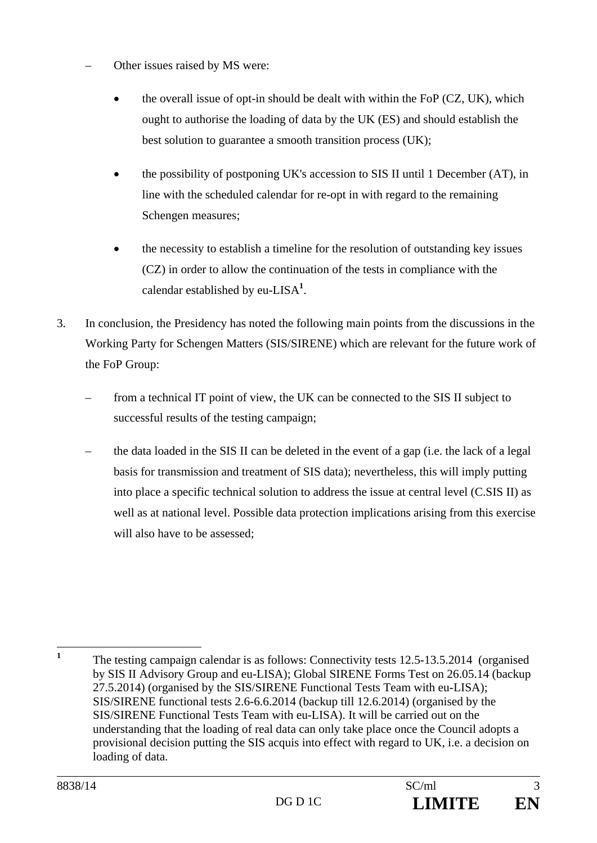- Other issues raised by MS were:
	- the overall issue of opt-in should be dealt with within the FoP (CZ, UK), which ought to authorise the loading of data by the UK (ES) and should establish the best solution to guarantee a smooth transition process (UK);
	- the possibility of postponing UK's accession to SIS II until 1 December (AT), in line with the scheduled calendar for re-opt in with regard to the remaining Schengen measures;
	- the necessity to establish a timeline for the resolution of outstanding key issues (CZ) in order to allow the continuation of the tests in compliance with the calendar established by eu-LISA**<sup>1</sup>** .
- 3. In conclusion, the Presidency has noted the following main points from the discussions in the Working Party for Schengen Matters (SIS/SIRENE) which are relevant for the future work of the FoP Group:
	- from a technical IT point of view, the UK can be connected to the SIS II subject to successful results of the testing campaign;
	- the data loaded in the SIS II can be deleted in the event of a gap (i.e. the lack of a legal basis for transmission and treatment of SIS data); nevertheless, this will imply putting into place a specific technical solution to address the issue at central level (C.SIS II) as well as at national level. Possible data protection implications arising from this exercise will also have to be assessed:

 **1** The testing campaign calendar is as follows: Connectivity tests 12.5-13.5.2014 (organised by SIS II Advisory Group and eu-LISA); Global SIRENE Forms Test on 26.05.14 (backup 27.5.2014) (organised by the SIS/SIRENE Functional Tests Team with eu-LISA); SIS/SIRENE functional tests 2.6-6.6.2014 (backup till 12.6.2014) (organised by the SIS/SIRENE Functional Tests Team with eu-LISA). It will be carried out on the understanding that the loading of real data can only take place once the Council adopts a provisional decision putting the SIS acquis into effect with regard to UK, i.e. a decision on loading of data.